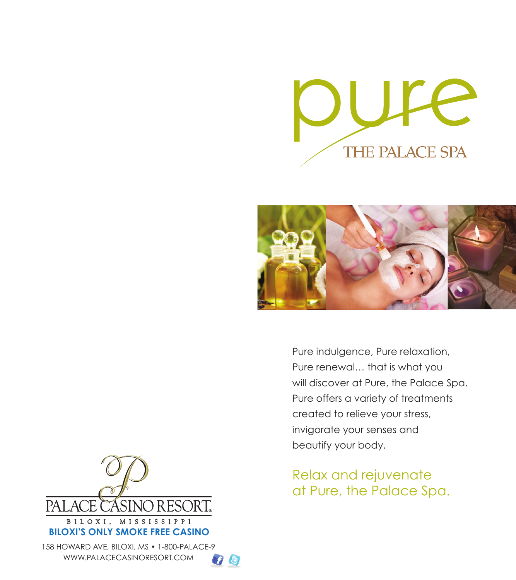



Pure indulgence, Pure relaxation, Pure renewal… that is what you will discover at Pure, the Palace Spa. Pure offers a variety of treatments created to relieve your stress, invigorate your senses and beautify your body.

Relax and rejuvenate at Pure, the Palace Spa.



158 HOWARD AVE, BILOXI, MS • 1-800-PALACE-9 **BILOXI'S ONLY SMOKE FREE CASINO**